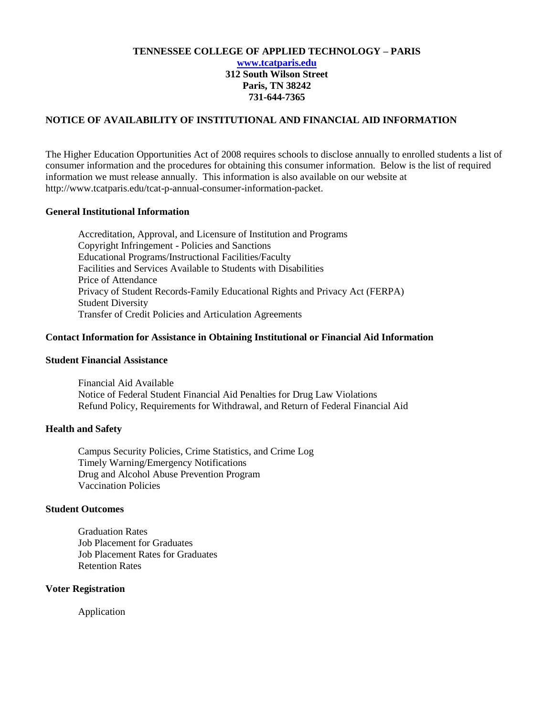#### **TENNESSEE COLLEGE OF APPLIED TECHNOLOGY – PARIS [www.tcatparis.edu](http://www.tcatparis.edu/) 312 South Wilson Street Paris, TN 38242 731-644-7365**

#### **NOTICE OF AVAILABILITY OF INSTITUTIONAL AND FINANCIAL AID INFORMATION**

The Higher Education Opportunities Act of 2008 requires schools to disclose annually to enrolled students a list of consumer information and the procedures for obtaining this consumer information. Below is the list of required information we must release annually. This information is also available on our website at http://www.tcatparis.edu/tcat-p-annual-consumer-information-packet.

#### **General Institutional Information**

Accreditation, Approval, and Licensure of Institution and Programs Copyright Infringement - Policies and Sanctions Educational Programs/Instructional Facilities/Faculty Facilities and Services Available to Students with Disabilities Price of Attendance Privacy of Student Records-Family Educational Rights and Privacy Act (FERPA) Student Diversity Transfer of Credit Policies and Articulation Agreements

#### **Contact Information for Assistance in Obtaining Institutional or Financial Aid Information**

#### **Student Financial Assistance**

Financial Aid Available Notice of Federal Student Financial Aid Penalties for Drug Law Violations Refund Policy, Requirements for Withdrawal, and Return of Federal Financial Aid

#### **Health and Safety**

Campus Security Policies, Crime Statistics, and Crime Log Timely Warning/Emergency Notifications Drug and Alcohol Abuse Prevention Program Vaccination Policies

#### **Student Outcomes**

Graduation Rates Job Placement for Graduates Job Placement Rates for Graduates Retention Rates

#### **Voter Registration**

Application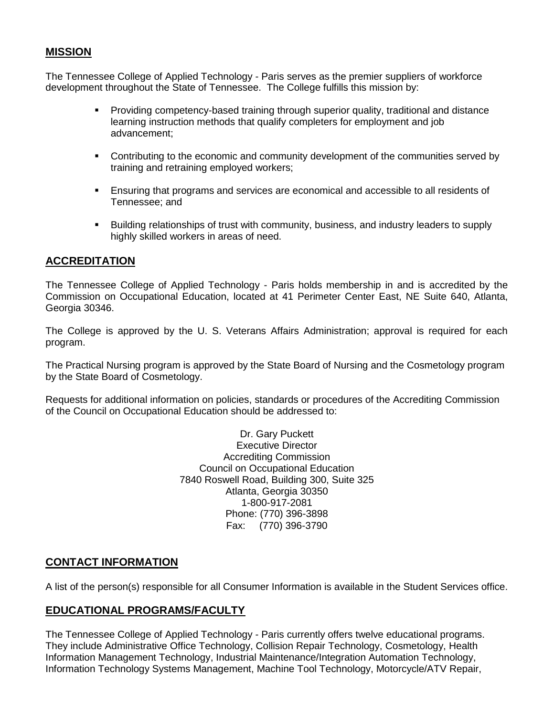### **MISSION**

The Tennessee College of Applied Technology - Paris serves as the premier suppliers of workforce development throughout the State of Tennessee. The College fulfills this mission by:

- Providing competency-based training through superior quality, traditional and distance learning instruction methods that qualify completers for employment and job advancement;
- Contributing to the economic and community development of the communities served by training and retraining employed workers;
- Ensuring that programs and services are economical and accessible to all residents of Tennessee; and
- Building relationships of trust with community, business, and industry leaders to supply highly skilled workers in areas of need.

### **ACCREDITATION**

The Tennessee College of Applied Technology - Paris holds membership in and is accredited by the Commission on Occupational Education, located at 41 Perimeter Center East, NE Suite 640, Atlanta, Georgia 30346.

The College is approved by the U. S. Veterans Affairs Administration; approval is required for each program.

The Practical Nursing program is approved by the State Board of Nursing and the Cosmetology program by the State Board of Cosmetology.

Requests for additional information on policies, standards or procedures of the Accrediting Commission of the Council on Occupational Education should be addressed to:

> Dr. Gary Puckett Executive Director Accrediting Commission Council on Occupational Education 7840 Roswell Road, Building 300, Suite 325 Atlanta, Georgia 30350 1-800-917-2081 Phone: (770) 396-3898 Fax: (770) 396-3790

### **CONTACT INFORMATION**

A list of the person(s) responsible for all Consumer Information is available in the Student Services office.

### **EDUCATIONAL PROGRAMS/FACULTY**

The Tennessee College of Applied Technology - Paris currently offers twelve educational programs. They include Administrative Office Technology, Collision Repair Technology, Cosmetology, Health Information Management Technology, Industrial Maintenance/Integration Automation Technology, Information Technology Systems Management, Machine Tool Technology, Motorcycle/ATV Repair,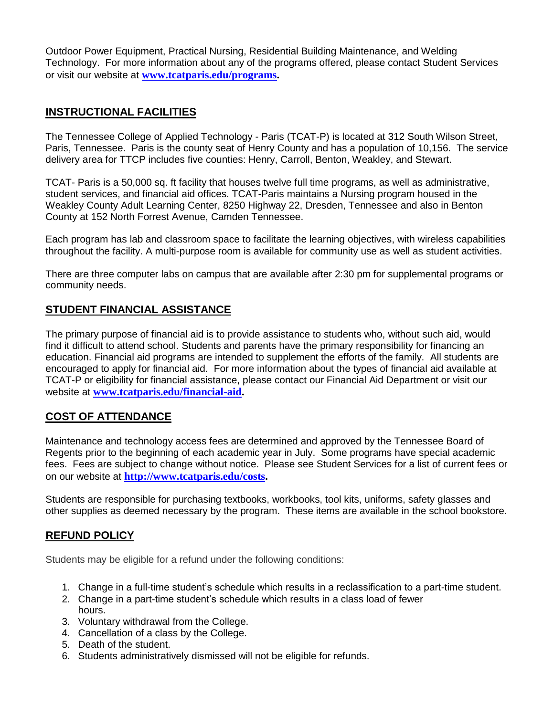Outdoor Power Equipment, Practical Nursing, Residential Building Maintenance, and Welding Technology. For more information about any of the programs offered, please contact Student Services or visit our website at **[www.tcatparis.edu/programs.](http://www.tcatparis.edu/programs)**

### **INSTRUCTIONAL FACILITIES**

The Tennessee College of Applied Technology - Paris (TCAT-P) is located at 312 South Wilson Street, Paris, Tennessee. Paris is the county seat of Henry County and has a population of 10,156. The service delivery area for TTCP includes five counties: Henry, Carroll, Benton, Weakley, and Stewart.

TCAT- Paris is a 50,000 sq. ft facility that houses twelve full time programs, as well as administrative, student services, and financial aid offices. TCAT-Paris maintains a Nursing program housed in the Weakley County Adult Learning Center, 8250 Highway 22, Dresden, Tennessee and also in Benton County at 152 North Forrest Avenue, Camden Tennessee.

Each program has lab and classroom space to facilitate the learning objectives, with wireless capabilities throughout the facility. A multi-purpose room is available for community use as well as student activities.

There are three computer labs on campus that are available after 2:30 pm for supplemental programs or community needs.

# **STUDENT FINANCIAL ASSISTANCE**

The primary purpose of financial aid is to provide assistance to students who, without such aid, would find it difficult to attend school. Students and parents have the primary responsibility for financing an education. Financial aid programs are intended to supplement the efforts of the family. All students are encouraged to apply for financial aid. For more information about the types of financial aid available at TCAT-P or eligibility for financial assistance, please contact our Financial Aid Department or visit our website at **[www.tcatparis.edu/financial-aid.](http://www.tcatparis.edu/financial-aid)**

# **COST OF ATTENDANCE**

Maintenance and technology access fees are determined and approved by the Tennessee Board of Regents prior to the beginning of each academic year in July. Some programs have special academic fees. Fees are subject to change without notice. Please see Student Services for a list of current fees or on our website at **[http://www.tcatparis.edu/costs.](http://www.tcatparis.edu/costs)**

Students are responsible for purchasing textbooks, workbooks, tool kits, uniforms, safety glasses and other supplies as deemed necessary by the program. These items are available in the school bookstore.

### **REFUND POLICY**

Students may be eligible for a refund under the following conditions:

- 1. Change in a full-time student's schedule which results in a reclassification to a part-time student.
- 2. Change in a part-time student's schedule which results in a class load of fewer hours.
- 3. Voluntary withdrawal from the College.
- 4. Cancellation of a class by the College.
- 5. Death of the student.
- 6. Students administratively dismissed will not be eligible for refunds.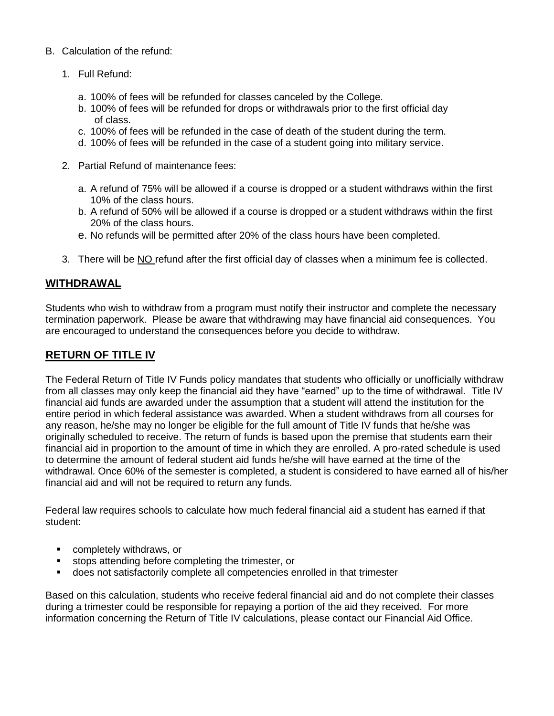#### B. Calculation of the refund:

- 1. Full Refund:
	- a. 100% of fees will be refunded for classes canceled by the College.
	- b. 100% of fees will be refunded for drops or withdrawals prior to the first official day of class.
	- c. 100% of fees will be refunded in the case of death of the student during the term.
	- d. 100% of fees will be refunded in the case of a student going into military service.
- 2. Partial Refund of maintenance fees:
	- a. A refund of 75% will be allowed if a course is dropped or a student withdraws within the first 10% of the class hours.
	- b. A refund of 50% will be allowed if a course is dropped or a student withdraws within the first 20% of the class hours.
	- e. No refunds will be permitted after 20% of the class hours have been completed.
- 3. There will be NO refund after the first official day of classes when a minimum fee is collected.

### **WITHDRAWAL**

Students who wish to withdraw from a program must notify their instructor and complete the necessary termination paperwork. Please be aware that withdrawing may have financial aid consequences. You are encouraged to understand the consequences before you decide to withdraw.

## **RETURN OF TITLE IV**

The Federal Return of Title IV Funds policy mandates that students who officially or unofficially withdraw from all classes may only keep the financial aid they have "earned" up to the time of withdrawal. Title IV financial aid funds are awarded under the assumption that a student will attend the institution for the entire period in which federal assistance was awarded. When a student withdraws from all courses for any reason, he/she may no longer be eligible for the full amount of Title IV funds that he/she was originally scheduled to receive. The return of funds is based upon the premise that students earn their financial aid in proportion to the amount of time in which they are enrolled. A pro-rated schedule is used to determine the amount of federal student aid funds he/she will have earned at the time of the withdrawal. Once 60% of the semester is completed, a student is considered to have earned all of his/her financial aid and will not be required to return any funds.

Federal law requires schools to calculate how much federal financial aid a student has earned if that student:

- completely withdraws, or
- stops attending before completing the trimester, or
- does not satisfactorily complete all competencies enrolled in that trimester

Based on this calculation, students who receive federal financial aid and do not complete their classes during a trimester could be responsible for repaying a portion of the aid they received. For more information concerning the Return of Title IV calculations, please contact our Financial Aid Office.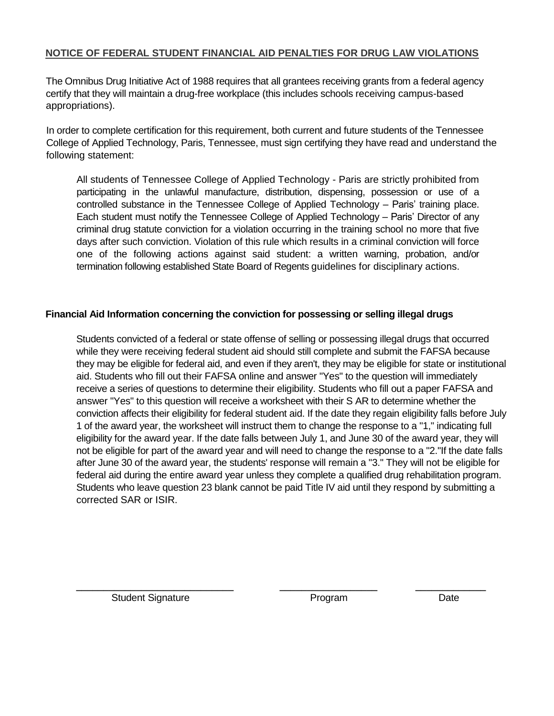### **NOTICE OF FEDERAL STUDENT FINANCIAL AID PENALTIES FOR DRUG LAW VIOLATIONS**

The Omnibus Drug Initiative Act of 1988 requires that all grantees receiving grants from a federal agency certify that they will maintain a drug-free workplace (this includes schools receiving campus-based appropriations).

In order to complete certification for this requirement, both current and future students of the Tennessee College of Applied Technology, Paris, Tennessee, must sign certifying they have read and understand the following statement:

All students of Tennessee College of Applied Technology - Paris are strictly prohibited from participating in the unlawful manufacture, distribution, dispensing, possession or use of a controlled substance in the Tennessee College of Applied Technology – Paris' training place. Each student must notify the Tennessee College of Applied Technology – Paris' Director of any criminal drug statute conviction for a violation occurring in the training school no more that five days after such conviction. Violation of this rule which results in a criminal conviction will force one of the following actions against said student: a written warning, probation, and/or termination following established State Board of Regents guidelines for disciplinary actions.

#### **Financial Aid Information concerning the conviction for possessing or selling illegal drugs**

Students convicted of a federal or state offense of selling or possessing illegal drugs that occurred while they were receiving federal student aid should still complete and submit the FAFSA because they may be eligible for federal aid, and even if they aren't, they may be eligible for state or institutional aid. Students who fill out their FAFSA online and answer "Yes" to the question will immediately receive a series of questions to determine their eligibility. Students who fill out a paper FAFSA and answer "Yes" to this question will receive a worksheet with their S AR to determine whether the conviction affects their eligibility for federal student aid. If the date they regain eligibility falls before July 1 of the award year, the worksheet will instruct them to change the response to a "1," indicating full eligibility for the award year. If the date falls between July 1, and June 30 of the award year, they will not be eligible for part of the award year and will need to change the response to a "2."If the date falls after June 30 of the award year, the students' response will remain a "3." They will not be eligible for federal aid during the entire award year unless they complete a qualified drug rehabilitation program. Students who leave question 23 blank cannot be paid Title IV aid until they respond by submitting a corrected SAR or ISIR.

**\_\_\_\_\_\_\_\_\_\_\_\_\_\_\_\_\_\_\_\_\_\_\_\_\_\_\_\_\_ \_\_\_\_\_\_\_\_\_\_\_\_\_\_\_\_\_\_ \_\_\_\_\_\_\_\_\_\_\_\_\_**

**Student Signature Community Community Program Date Date**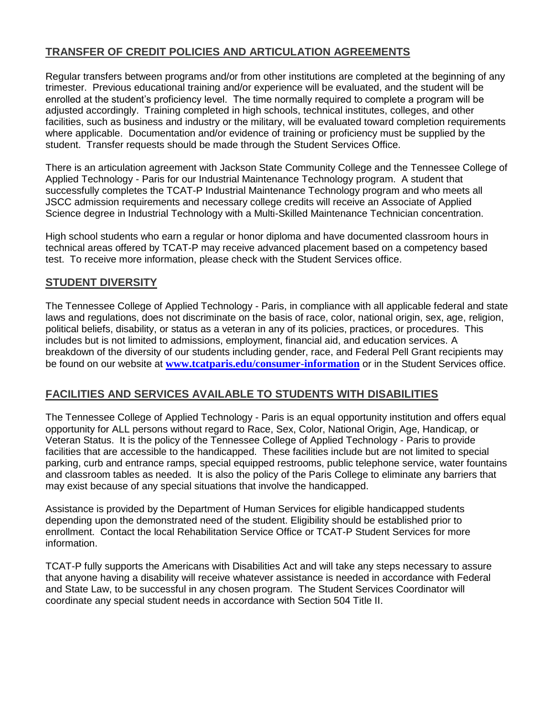# **TRANSFER OF CREDIT POLICIES AND ARTICULATION AGREEMENTS**

Regular transfers between programs and/or from other institutions are completed at the beginning of any trimester. Previous educational training and/or experience will be evaluated, and the student will be enrolled at the student's proficiency level. The time normally required to complete a program will be adjusted accordingly. Training completed in high schools, technical institutes, colleges, and other facilities, such as business and industry or the military, will be evaluated toward completion requirements where applicable. Documentation and/or evidence of training or proficiency must be supplied by the student. Transfer requests should be made through the Student Services Office.

There is an articulation agreement with Jackson State Community College and the Tennessee College of Applied Technology - Paris for our Industrial Maintenance Technology program. A student that successfully completes the TCAT-P Industrial Maintenance Technology program and who meets all JSCC admission requirements and necessary college credits will receive an Associate of Applied Science degree in Industrial Technology with a Multi-Skilled Maintenance Technician concentration.

High school students who earn a regular or honor diploma and have documented classroom hours in technical areas offered by TCAT-P may receive advanced placement based on a competency based test. To receive more information, please check with the Student Services office.

### **STUDENT DIVERSITY**

The Tennessee College of Applied Technology - Paris, in compliance with all applicable federal and state laws and regulations, does not discriminate on the basis of race, color, national origin, sex, age, religion, political beliefs, disability, or status as a veteran in any of its policies, practices, or procedures. This includes but is not limited to admissions, employment, financial aid, and education services. A breakdown of the diversity of our students including gender, race, and Federal Pell Grant recipients may be found on our website at **[www.tcatparis.edu/consumer-information](http://www.tcatparis.edu/consumer-information)** or in the Student Services office.

### **FACILITIES AND SERVICES AVAILABLE TO STUDENTS WITH DISABILITIES**

The Tennessee College of Applied Technology - Paris is an equal opportunity institution and offers equal opportunity for ALL persons without regard to Race, Sex, Color, National Origin, Age, Handicap, or Veteran Status. It is the policy of the Tennessee College of Applied Technology - Paris to provide facilities that are accessible to the handicapped. These facilities include but are not limited to special parking, curb and entrance ramps, special equipped restrooms, public telephone service, water fountains and classroom tables as needed. It is also the policy of the Paris College to eliminate any barriers that may exist because of any special situations that involve the handicapped.

Assistance is provided by the Department of Human Services for eligible handicapped students depending upon the demonstrated need of the student. Eligibility should be established prior to enrollment. Contact the local Rehabilitation Service Office or TCAT-P Student Services for more information.

TCAT-P fully supports the Americans with Disabilities Act and will take any steps necessary to assure that anyone having a disability will receive whatever assistance is needed in accordance with Federal and State Law, to be successful in any chosen program. The Student Services Coordinator will coordinate any special student needs in accordance with Section 504 Title II.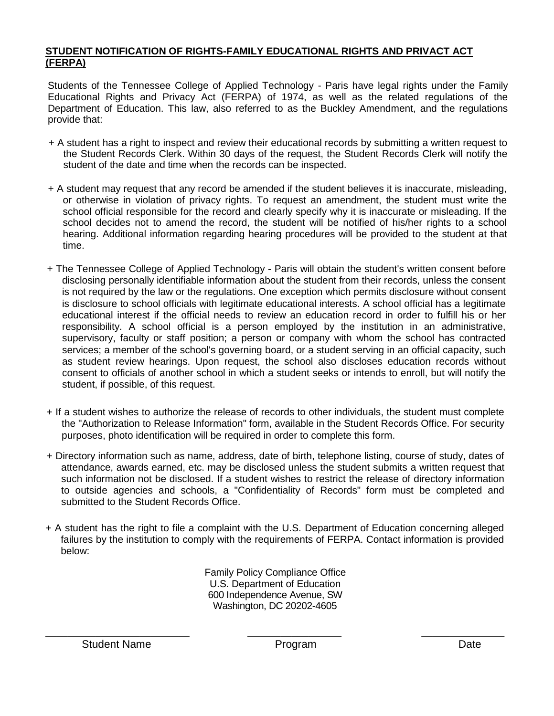#### **STUDENT NOTIFICATION OF RIGHTS-FAMILY EDUCATIONAL RIGHTS AND PRIVACT ACT (FERPA)**

Students of the Tennessee College of Applied Technology - Paris have legal rights under the Family Educational Rights and Privacy Act (FERPA) of 1974, as well as the related regulations of the Department of Education. This law, also referred to as the Buckley Amendment, and the regulations provide that:

- + A student has a right to inspect and review their educational records by submitting a written request to the Student Records Clerk. Within 30 days of the request, the Student Records Clerk will notify the student of the date and time when the records can be inspected.
- + A student may request that any record be amended if the student believes it is inaccurate, misleading, or otherwise in violation of privacy rights. To request an amendment, the student must write the school official responsible for the record and clearly specify why it is inaccurate or misleading. If the school decides not to amend the record, the student will be notified of his/her rights to a school hearing. Additional information regarding hearing procedures will be provided to the student at that time.
- + The Tennessee College of Applied Technology Paris will obtain the student's written consent before disclosing personally identifiable information about the student from their records, unless the consent is not required by the law or the regulations. One exception which permits disclosure without consent is disclosure to school officials with legitimate educational interests. A school official has a legitimate educational interest if the official needs to review an education record in order to fulfill his or her responsibility. A school official is a person employed by the institution in an administrative, supervisory, faculty or staff position; a person or company with whom the school has contracted services; a member of the school's governing board, or a student serving in an official capacity, such as student review hearings. Upon request, the school also discloses education records without consent to officials of another school in which a student seeks or intends to enroll, but will notify the student, if possible, of this request.
- + If a student wishes to authorize the release of records to other individuals, the student must complete the "Authorization to Release Information" form, available in the Student Records Office. For security purposes, photo identification will be required in order to complete this form.
- + Directory information such as name, address, date of birth, telephone listing, course of study, dates of attendance, awards earned, etc. may be disclosed unless the student submits a written request that such information not be disclosed. If a student wishes to restrict the release of directory information to outside agencies and schools, a "Confidentiality of Records" form must be completed and submitted to the Student Records Office.
- + A student has the right to file a complaint with the U.S. Department of Education concerning alleged failures by the institution to comply with the requirements of FERPA. Contact information is provided below:

Family Policy Compliance Office U.S. Department of Education 600 Independence Avenue, SW Washington, DC 20202-4605

\_\_\_\_\_\_\_\_\_\_\_\_\_\_\_\_\_\_\_\_\_\_\_\_\_\_ \_\_\_\_\_\_\_\_\_\_\_\_\_\_\_\_\_ \_\_\_\_\_\_\_\_\_\_\_\_\_\_\_

Student Name **Program** Program Program Date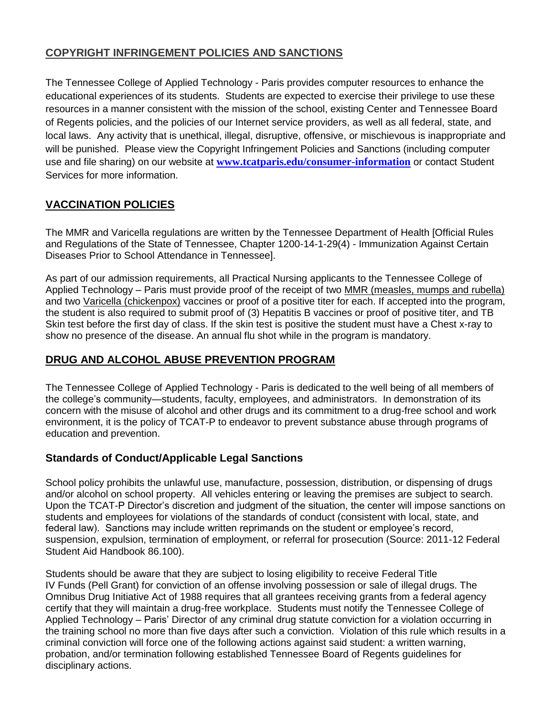# **COPYRIGHT INFRINGEMENT POLICIES AND SANCTIONS**

The Tennessee College of Applied Technology - Paris provides computer resources to enhance the educational experiences of its students. Students are expected to exercise their privilege to use these resources in a manner consistent with the mission of the school, existing Center and Tennessee Board of Regents policies, and the policies of our Internet service providers, as well as all federal, state, and local laws. Any activity that is unethical, illegal, disruptive, offensive, or mischievous is inappropriate and will be punished. Please view the Copyright Infringement Policies and Sanctions (including computer use and file sharing) on our website at **[www.tcatparis.edu/consumer-information](http://www.tcatparis.edu/consumer-information)** or contact Student Services for more information.

# **VACCINATION POLICIES**

The MMR and Varicella regulations are written by the Tennessee Department of Health [Official Rules and Regulations of the State of Tennessee, Chapter 1200-14-1-29(4) - Immunization Against Certain Diseases Prior to School Attendance in Tennessee].

As part of our admission requirements, all Practical Nursing applicants to the Tennessee College of Applied Technology – Paris must provide proof of the receipt of two MMR (measles, mumps and rubella) and two Varicella (chickenpox) vaccines or proof of a positive titer for each. If accepted into the program, the student is also required to submit proof of (3) Hepatitis B vaccines or proof of positive titer, and TB Skin test before the first day of class. If the skin test is positive the student must have a Chest x-ray to show no presence of the disease. An annual flu shot while in the program is mandatory.

# **DRUG AND ALCOHOL ABUSE PREVENTION PROGRAM**

The Tennessee College of Applied Technology - Paris is dedicated to the well being of all members of the college's community—students, faculty, employees, and administrators. In demonstration of its concern with the misuse of alcohol and other drugs and its commitment to a drug-free school and work environment, it is the policy of TCAT-P to endeavor to prevent substance abuse through programs of education and prevention.

# **Standards of Conduct/Applicable Legal Sanctions**

School policy prohibits the unlawful use, manufacture, possession, distribution, or dispensing of drugs and/or alcohol on school property. All vehicles entering or leaving the premises are subject to search. Upon the TCAT-P Director's discretion and judgment of the situation, the center will impose sanctions on students and employees for violations of the standards of conduct (consistent with local, state, and federal law). Sanctions may include written reprimands on the student or employee's record, suspension, expulsion, termination of employment, or referral for prosecution (Source: 2011-12 Federal Student Aid Handbook 86.100).

Students should be aware that they are subject to losing eligibility to receive Federal Title IV Funds (Pell Grant) for conviction of an offense involving possession or sale of illegal drugs. The Omnibus Drug Initiative Act of 1988 requires that all grantees receiving grants from a federal agency certify that they will maintain a drug-free workplace. Students must notify the Tennessee College of Applied Technology – Paris' Director of any criminal drug statute conviction for a violation occurring in the training school no more than five days after such a conviction. Violation of this rule which results in a criminal conviction will force one of the following actions against said student: a written warning, probation, and/or termination following established Tennessee Board of Regents guidelines for disciplinary actions.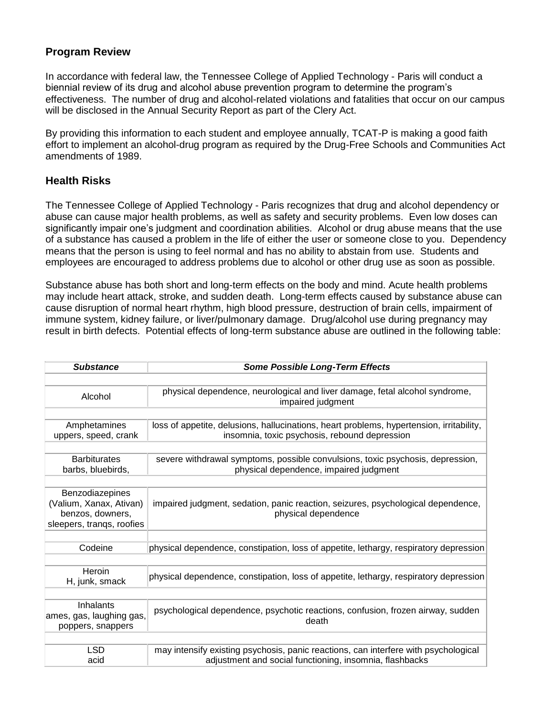### **Program Review**

In accordance with federal law, the Tennessee College of Applied Technology - Paris will conduct a biennial review of its drug and alcohol abuse prevention program to determine the program's effectiveness. The number of drug and alcohol-related violations and fatalities that occur on our campus will be disclosed in the Annual Security Report as part of the Clery Act.

By providing this information to each student and employee annually, TCAT-P is making a good faith effort to implement an alcohol-drug program as required by the Drug-Free Schools and Communities Act amendments of 1989.

### **Health Risks**

The Tennessee College of Applied Technology - Paris recognizes that drug and alcohol dependency or abuse can cause major health problems, as well as safety and security problems. Even low doses can significantly impair one's judgment and coordination abilities. Alcohol or drug abuse means that the use of a substance has caused a problem in the life of either the user or someone close to you. Dependency means that the person is using to feel normal and has no ability to abstain from use. Students and employees are encouraged to address problems due to alcohol or other drug use as soon as possible.

Substance abuse has both short and long-term effects on the body and mind. Acute health problems may include heart attack, stroke, and sudden death. Long-term effects caused by substance abuse can cause disruption of normal heart rhythm, high blood pressure, destruction of brain cells, impairment of immune system, kidney failure, or liver/pulmonary damage. Drug/alcohol use during pregnancy may result in birth defects. Potential effects of long-term substance abuse are outlined in the following table:

| <b>Substance</b>                                                                            | <b>Some Possible Long-Term Effects</b>                                                                                                         |  |  |  |  |
|---------------------------------------------------------------------------------------------|------------------------------------------------------------------------------------------------------------------------------------------------|--|--|--|--|
|                                                                                             |                                                                                                                                                |  |  |  |  |
| Alcohol                                                                                     | physical dependence, neurological and liver damage, fetal alcohol syndrome,<br>impaired judgment                                               |  |  |  |  |
|                                                                                             |                                                                                                                                                |  |  |  |  |
| Amphetamines<br>uppers, speed, crank                                                        | loss of appetite, delusions, hallucinations, heart problems, hypertension, irritability,<br>insomnia, toxic psychosis, rebound depression      |  |  |  |  |
|                                                                                             |                                                                                                                                                |  |  |  |  |
| <b>Barbiturates</b><br>barbs, bluebirds,                                                    | severe withdrawal symptoms, possible convulsions, toxic psychosis, depression,<br>physical dependence, impaired judgment                       |  |  |  |  |
|                                                                                             |                                                                                                                                                |  |  |  |  |
| Benzodiazepines<br>(Valium, Xanax, Ativan)<br>benzos, downers,<br>sleepers, trangs, roofies | impaired judgment, sedation, panic reaction, seizures, psychological dependence,<br>physical dependence                                        |  |  |  |  |
|                                                                                             |                                                                                                                                                |  |  |  |  |
| Codeine                                                                                     | physical dependence, constipation, loss of appetite, lethargy, respiratory depression                                                          |  |  |  |  |
|                                                                                             |                                                                                                                                                |  |  |  |  |
| Heroin<br>H, junk, smack                                                                    | physical dependence, constipation, loss of appetite, lethargy, respiratory depression                                                          |  |  |  |  |
|                                                                                             |                                                                                                                                                |  |  |  |  |
| Inhalants<br>ames, gas, laughing gas,<br>poppers, snappers                                  | psychological dependence, psychotic reactions, confusion, frozen airway, sudden<br>death                                                       |  |  |  |  |
|                                                                                             |                                                                                                                                                |  |  |  |  |
| <b>LSD</b><br>acid                                                                          | may intensify existing psychosis, panic reactions, can interfere with psychological<br>adjustment and social functioning, insomnia, flashbacks |  |  |  |  |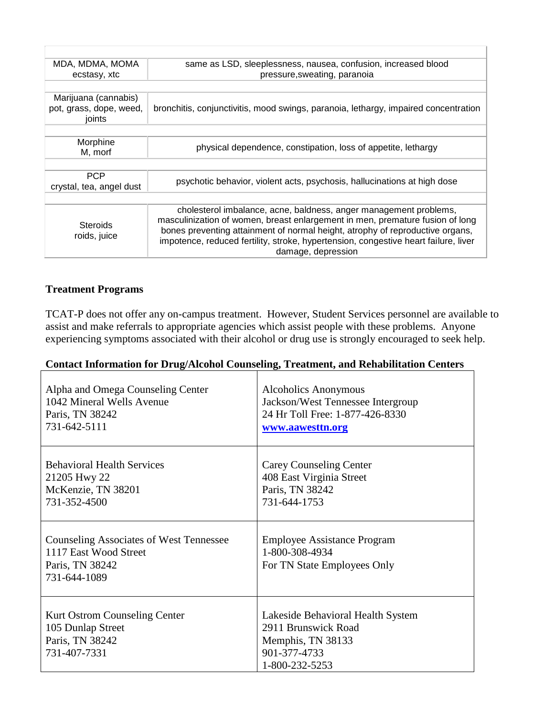| MDA, MDMA, MOMA<br>same as LSD, sleeplessness, nausea, confusion, increased blood |                                                                                     |  |  |  |  |  |
|-----------------------------------------------------------------------------------|-------------------------------------------------------------------------------------|--|--|--|--|--|
| ecstasy, xtc                                                                      | pressure, sweating, paranoia                                                        |  |  |  |  |  |
|                                                                                   |                                                                                     |  |  |  |  |  |
| Marijuana (cannabis)                                                              |                                                                                     |  |  |  |  |  |
| pot, grass, dope, weed,                                                           | bronchitis, conjunctivitis, mood swings, paranoia, lethargy, impaired concentration |  |  |  |  |  |
| joints                                                                            |                                                                                     |  |  |  |  |  |
|                                                                                   |                                                                                     |  |  |  |  |  |
| Morphine                                                                          |                                                                                     |  |  |  |  |  |
| M, morf                                                                           | physical dependence, constipation, loss of appetite, lethargy                       |  |  |  |  |  |
|                                                                                   |                                                                                     |  |  |  |  |  |
| <b>PCP</b>                                                                        |                                                                                     |  |  |  |  |  |
| crystal, tea, angel dust                                                          | psychotic behavior, violent acts, psychosis, hallucinations at high dose            |  |  |  |  |  |
|                                                                                   |                                                                                     |  |  |  |  |  |
|                                                                                   | cholesterol imbalance, acne, baldness, anger management problems,                   |  |  |  |  |  |
| <b>Steroids</b><br>roids, juice                                                   | masculinization of women, breast enlargement in men, premature fusion of long       |  |  |  |  |  |
|                                                                                   | bones preventing attainment of normal height, atrophy of reproductive organs,       |  |  |  |  |  |
|                                                                                   | impotence, reduced fertility, stroke, hypertension, congestive heart failure, liver |  |  |  |  |  |
|                                                                                   | damage, depression                                                                  |  |  |  |  |  |
|                                                                                   |                                                                                     |  |  |  |  |  |

T

#### **Treatment Programs**

TCAT-P does not offer any on-campus treatment. However, Student Services personnel are available to assist and make referrals to appropriate agencies which assist people with these problems. Anyone experiencing symptoms associated with their alcohol or drug use is strongly encouraged to seek help.

| Alpha and Omega Counseling Center                                                                          | Alcoholics Anonymous                                                                                            |
|------------------------------------------------------------------------------------------------------------|-----------------------------------------------------------------------------------------------------------------|
| 1042 Mineral Wells Avenue                                                                                  | Jackson/West Tennessee Intergroup                                                                               |
| Paris, TN 38242                                                                                            | 24 Hr Toll Free: 1-877-426-8330                                                                                 |
| 731-642-5111                                                                                               | www.aawesttn.org                                                                                                |
| <b>Behavioral Health Services</b>                                                                          | Carey Counseling Center                                                                                         |
| 21205 Hwy 22                                                                                               | 408 East Virginia Street                                                                                        |
| McKenzie, TN 38201                                                                                         | Paris, TN 38242                                                                                                 |
| 731-352-4500                                                                                               | 731-644-1753                                                                                                    |
| <b>Counseling Associates of West Tennessee</b><br>1117 East Wood Street<br>Paris, TN 38242<br>731-644-1089 | <b>Employee Assistance Program</b><br>1-800-308-4934<br>For TN State Employees Only                             |
| Kurt Ostrom Counseling Center<br>105 Dunlap Street<br>Paris, TN 38242<br>731-407-7331                      | Lakeside Behavioral Health System<br>2911 Brunswick Road<br>Memphis, TN 38133<br>901-377-4733<br>1-800-232-5253 |

#### **Contact Information for Drug/Alcohol Counseling, Treatment, and Rehabilitation Centers**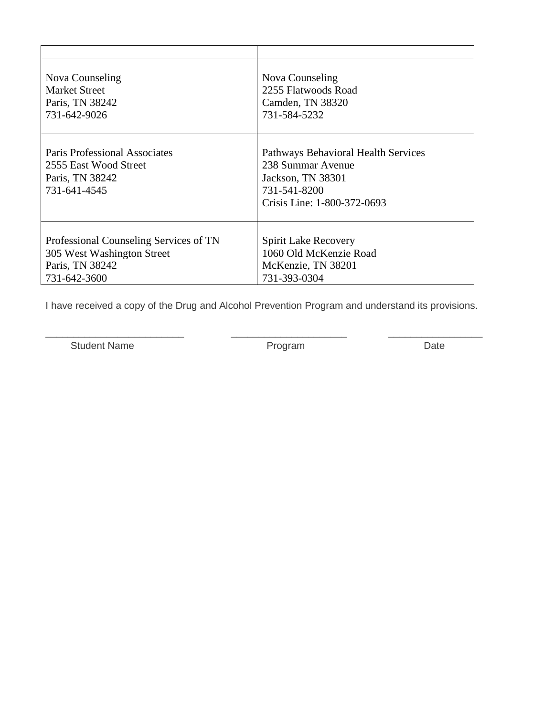| Nova Counseling                                                                                  | Nova Counseling                                                                                                              |
|--------------------------------------------------------------------------------------------------|------------------------------------------------------------------------------------------------------------------------------|
| <b>Market Street</b>                                                                             | 2255 Flatwoods Road                                                                                                          |
| Paris, TN 38242                                                                                  | Camden, TN 38320                                                                                                             |
| 731-642-9026                                                                                     | 731-584-5232                                                                                                                 |
| <b>Paris Professional Associates</b><br>2555 East Wood Street<br>Paris, TN 38242<br>731-641-4545 | Pathways Behavioral Health Services<br>238 Summar Avenue<br>Jackson, TN 38301<br>731-541-8200<br>Crisis Line: 1-800-372-0693 |
| Professional Counseling Services of TN                                                           | <b>Spirit Lake Recovery</b>                                                                                                  |
| 305 West Washington Street                                                                       | 1060 Old McKenzie Road                                                                                                       |
| Paris, TN 38242                                                                                  | McKenzie, TN 38201                                                                                                           |
| 731-642-3600                                                                                     | 731-393-0304                                                                                                                 |

I have received a copy of the Drug and Alcohol Prevention Program and understand its provisions.

\_\_\_\_\_\_\_\_\_\_\_\_\_\_\_\_\_\_\_\_\_\_\_\_\_ \_\_\_\_\_\_\_\_\_\_\_\_\_\_\_\_\_\_\_\_\_ \_\_\_\_\_\_\_\_\_\_\_\_\_\_\_\_\_

Student Name **Contract Contract Contract Contract Contract Contract Contract Contract Contract Contract Contract Contract Contract Contract Contract Contract Contract Contract Contract Contract Contract Contract Contract C**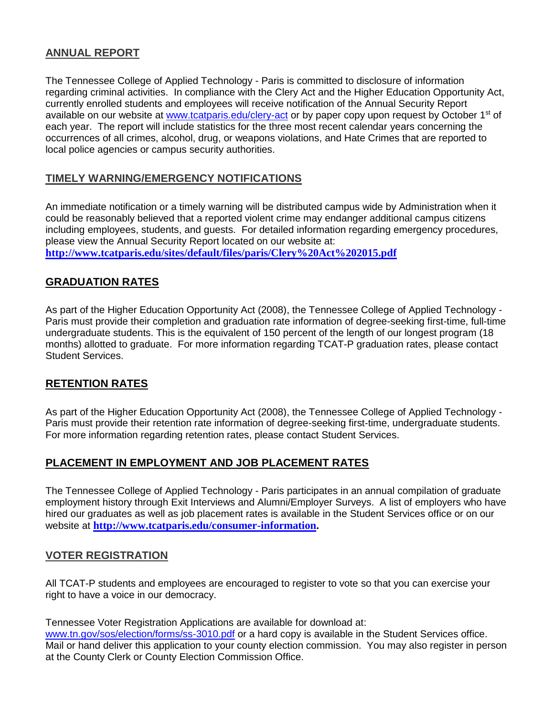### **ANNUAL REPORT**

The Tennessee College of Applied Technology - Paris is committed to disclosure of information regarding criminal activities. In compliance with the Clery Act and the Higher Education Opportunity Act, currently enrolled students and employees will receive notification of the Annual Security Report available on our website at [www.tcatparis.edu/clery-act](http://www.tcatparis.edu/clery-act) or by paper copy upon request by October 1<sup>st</sup> of each year. The report will include statistics for the three most recent calendar years concerning the occurrences of all crimes, alcohol, drug, or weapons violations, and Hate Crimes that are reported to local police agencies or campus security authorities.

### **TIMELY WARNING/EMERGENCY NOTIFICATIONS**

An immediate notification or a timely warning will be distributed campus wide by Administration when it could be reasonably believed that a reported violent crime may endanger additional campus citizens including employees, students, and guests. For detailed information regarding emergency procedures, please view the Annual Security Report located on our website at: **<http://www.tcatparis.edu/sites/default/files/paris/Clery%20Act%202015.pdf>**

### **GRADUATION RATES**

As part of the Higher Education Opportunity Act (2008), the Tennessee College of Applied Technology - Paris must provide their completion and graduation rate information of degree-seeking first-time, full-time undergraduate students. This is the equivalent of 150 percent of the length of our longest program (18 months) allotted to graduate. For more information regarding TCAT-P graduation rates, please contact Student Services.

### **RETENTION RATES**

As part of the Higher Education Opportunity Act (2008), the Tennessee College of Applied Technology - Paris must provide their retention rate information of degree-seeking first-time, undergraduate students. For more information regarding retention rates, please contact Student Services.

### **PLACEMENT IN EMPLOYMENT AND JOB PLACEMENT RATES**

The Tennessee College of Applied Technology - Paris participates in an annual compilation of graduate employment history through Exit Interviews and Alumni/Employer Surveys. A list of employers who have hired our graduates as well as job placement rates is available in the Student Services office or on our website at **[http://www.tcatparis.edu/consumer-information.](http://www.tcatparis.edu/consumer-information)**

### **VOTER REGISTRATION**

All TCAT-P students and employees are encouraged to register to vote so that you can exercise your right to have a voice in our democracy.

Tennessee Voter Registration Applications are available for download at:

[www.tn.gov/sos/election/forms/ss-3010.pdf](http://www.tn.gov/sos/election/forms/ss-3010.pdf) or a hard copy is available in the Student Services office. Mail or hand deliver this application to your county election commission. You may also register in person at the County Clerk or County Election Commission Office.